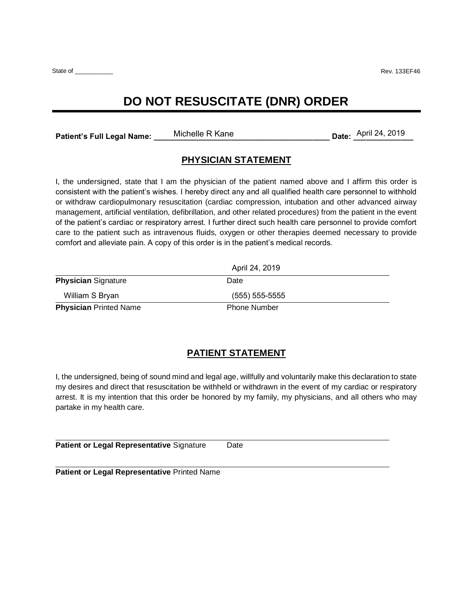State of \_\_\_\_\_\_\_\_\_\_\_ Rev. 133EF46

## **DO NOT RESUSCITATE (DNR) ORDER**

Patient's Full Legal Name: Michelle R Kane

Date: April 24, 2019

## **PHYSICIAN STATEMENT**

I, the undersigned, state that I am the physician of the patient named above and I affirm this order is consistent with the patient's wishes. I hereby direct any and all qualified health care personnel to withhold or withdraw cardiopulmonary resuscitation (cardiac compression, intubation and other advanced airway management, artificial ventilation, defibrillation, and other related procedures) from the patient in the event of the patient's cardiac or respiratory arrest. I further direct such health care personnel to provide comfort care to the patient such as intravenous fluids, oxygen or other therapies deemed necessary to provide comfort and alleviate pain. A copy of this order is in the patient's medical records.

|                               | April 24, 2019      |  |
|-------------------------------|---------------------|--|
| <b>Physician Signature</b>    | Date                |  |
| William S Bryan               | $(555)$ 555-5555    |  |
| <b>Physician Printed Name</b> | <b>Phone Number</b> |  |

## **PATIENT STATEMENT**

I, the undersigned, being of sound mind and legal age, willfully and voluntarily make this declaration to state my desires and direct that resuscitation be withheld or withdrawn in the event of my cardiac or respiratory arrest. It is my intention that this order be honored by my family, my physicians, and all others who may partake in my health care.

**Patient or Legal Representative Signature Date** 

**Patient or Legal Representative** Printed Name